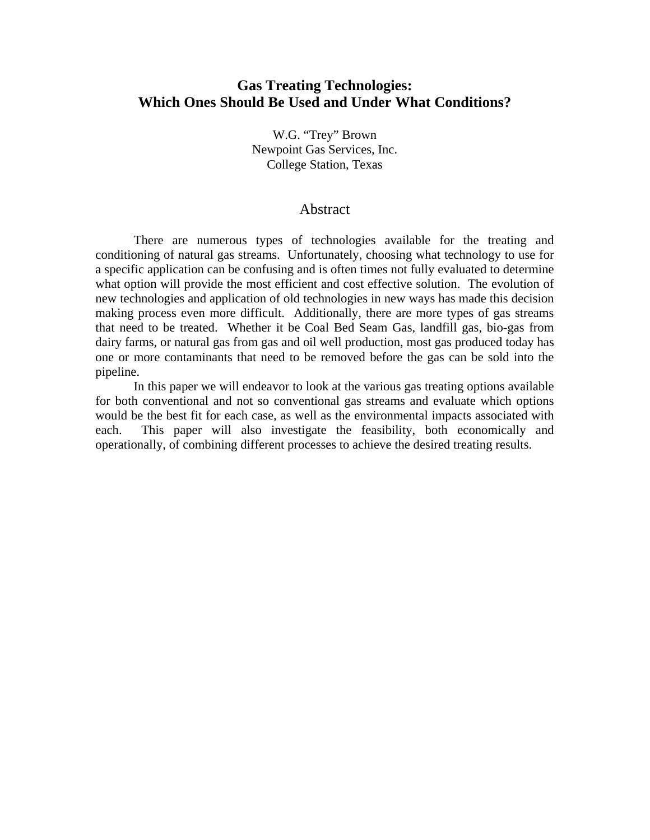# **Gas Treating Technologies: Which Ones Should Be Used and Under What Conditions?**

W.G. "Trey" Brown Newpoint Gas Services, Inc. College Station, Texas

#### Abstract

 There are numerous types of technologies available for the treating and conditioning of natural gas streams. Unfortunately, choosing what technology to use for a specific application can be confusing and is often times not fully evaluated to determine what option will provide the most efficient and cost effective solution. The evolution of new technologies and application of old technologies in new ways has made this decision making process even more difficult. Additionally, there are more types of gas streams that need to be treated. Whether it be Coal Bed Seam Gas, landfill gas, bio-gas from dairy farms, or natural gas from gas and oil well production, most gas produced today has one or more contaminants that need to be removed before the gas can be sold into the pipeline.

In this paper we will endeavor to look at the various gas treating options available for both conventional and not so conventional gas streams and evaluate which options would be the best fit for each case, as well as the environmental impacts associated with each. This paper will also investigate the feasibility, both economically and operationally, of combining different processes to achieve the desired treating results.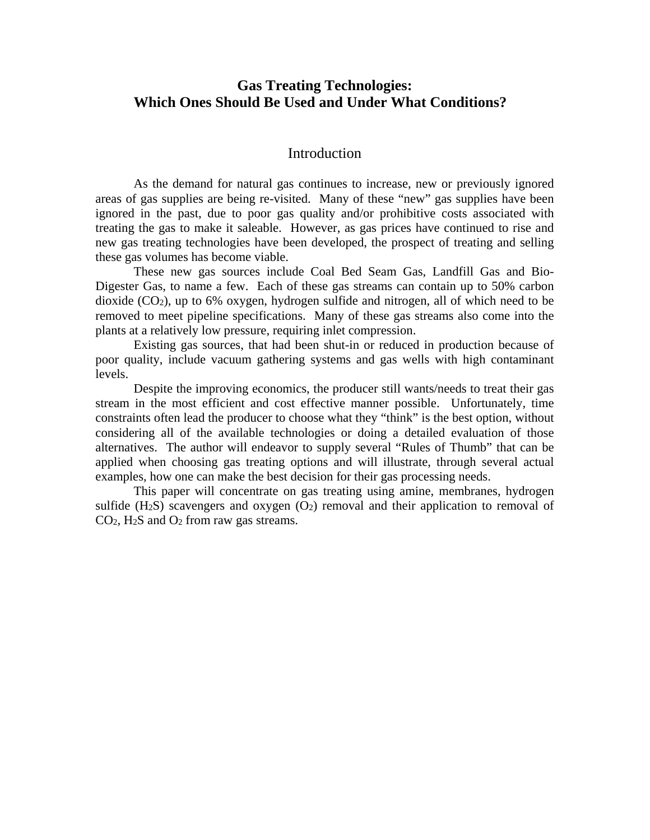# **Gas Treating Technologies: Which Ones Should Be Used and Under What Conditions?**

## **Introduction**

As the demand for natural gas continues to increase, new or previously ignored areas of gas supplies are being re-visited. Many of these "new" gas supplies have been ignored in the past, due to poor gas quality and/or prohibitive costs associated with treating the gas to make it saleable. However, as gas prices have continued to rise and new gas treating technologies have been developed, the prospect of treating and selling these gas volumes has become viable.

These new gas sources include Coal Bed Seam Gas, Landfill Gas and Bio-Digester Gas, to name a few. Each of these gas streams can contain up to 50% carbon dioxide (CO2), up to 6% oxygen, hydrogen sulfide and nitrogen, all of which need to be removed to meet pipeline specifications. Many of these gas streams also come into the plants at a relatively low pressure, requiring inlet compression.

Existing gas sources, that had been shut-in or reduced in production because of poor quality, include vacuum gathering systems and gas wells with high contaminant levels.

Despite the improving economics, the producer still wants/needs to treat their gas stream in the most efficient and cost effective manner possible. Unfortunately, time constraints often lead the producer to choose what they "think" is the best option, without considering all of the available technologies or doing a detailed evaluation of those alternatives. The author will endeavor to supply several "Rules of Thumb" that can be applied when choosing gas treating options and will illustrate, through several actual examples, how one can make the best decision for their gas processing needs.

This paper will concentrate on gas treating using amine, membranes, hydrogen sulfide (H<sub>2</sub>S) scavengers and oxygen  $(O_2)$  removal and their application to removal of CO2, H2S and O2 from raw gas streams.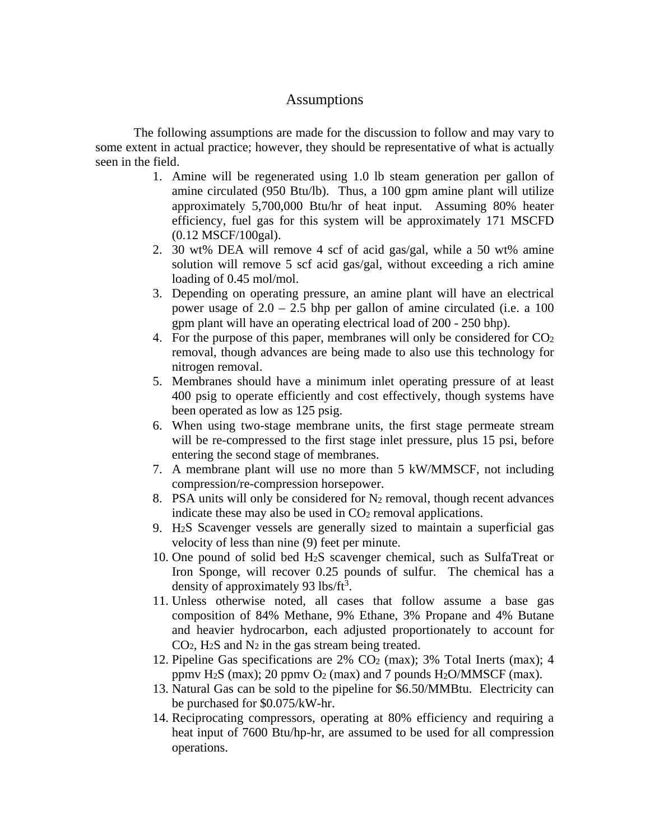### Assumptions

The following assumptions are made for the discussion to follow and may vary to some extent in actual practice; however, they should be representative of what is actually seen in the field.

- 1. Amine will be regenerated using 1.0 lb steam generation per gallon of amine circulated (950 Btu/lb). Thus, a 100 gpm amine plant will utilize approximately 5,700,000 Btu/hr of heat input. Assuming 80% heater efficiency, fuel gas for this system will be approximately 171 MSCFD (0.12 MSCF/100gal).
- 2. 30 wt% DEA will remove 4 scf of acid gas/gal, while a 50 wt% amine solution will remove 5 scf acid gas/gal, without exceeding a rich amine loading of 0.45 mol/mol.
- 3. Depending on operating pressure, an amine plant will have an electrical power usage of  $2.0 - 2.5$  bhp per gallon of amine circulated (i.e. a 100 gpm plant will have an operating electrical load of 200 - 250 bhp).
- 4. For the purpose of this paper, membranes will only be considered for CO2 removal, though advances are being made to also use this technology for nitrogen removal.
- 5. Membranes should have a minimum inlet operating pressure of at least 400 psig to operate efficiently and cost effectively, though systems have been operated as low as 125 psig.
- 6. When using two-stage membrane units, the first stage permeate stream will be re-compressed to the first stage inlet pressure, plus 15 psi, before entering the second stage of membranes.
- 7. A membrane plant will use no more than 5 kW/MMSCF, not including compression/re-compression horsepower.
- 8. PSA units will only be considered for  $N_2$  removal, though recent advances indicate these may also be used in  $CO<sub>2</sub>$  removal applications.
- 9. H2S Scavenger vessels are generally sized to maintain a superficial gas velocity of less than nine (9) feet per minute.
- 10. One pound of solid bed H2S scavenger chemical, such as SulfaTreat or Iron Sponge, will recover 0.25 pounds of sulfur. The chemical has a density of approximately 93 lbs/ft<sup>3</sup>.
- 11. Unless otherwise noted, all cases that follow assume a base gas composition of 84% Methane, 9% Ethane, 3% Propane and 4% Butane and heavier hydrocarbon, each adjusted proportionately to account for CO2, H2S and N2 in the gas stream being treated.
- 12. Pipeline Gas specifications are  $2\%$  CO<sub>2</sub> (max); 3% Total Inerts (max); 4 ppmv H<sub>2</sub>S (max); 20 ppmv  $O_2$  (max) and 7 pounds H<sub>2</sub>O/MMSCF (max).
- 13. Natural Gas can be sold to the pipeline for \$6.50/MMBtu. Electricity can be purchased for \$0.075/kW-hr.
- 14. Reciprocating compressors, operating at 80% efficiency and requiring a heat input of 7600 Btu/hp-hr, are assumed to be used for all compression operations.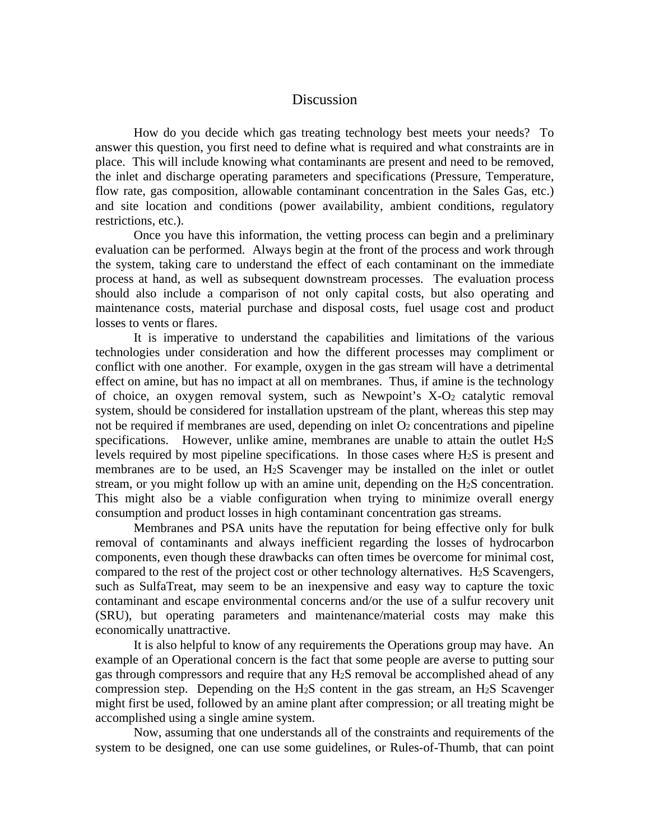#### Discussion

How do you decide which gas treating technology best meets your needs? To answer this question, you first need to define what is required and what constraints are in place. This will include knowing what contaminants are present and need to be removed, the inlet and discharge operating parameters and specifications (Pressure, Temperature, flow rate, gas composition, allowable contaminant concentration in the Sales Gas, etc.) and site location and conditions (power availability, ambient conditions, regulatory restrictions, etc.).

Once you have this information, the vetting process can begin and a preliminary evaluation can be performed. Always begin at the front of the process and work through the system, taking care to understand the effect of each contaminant on the immediate process at hand, as well as subsequent downstream processes. The evaluation process should also include a comparison of not only capital costs, but also operating and maintenance costs, material purchase and disposal costs, fuel usage cost and product losses to vents or flares.

It is imperative to understand the capabilities and limitations of the various technologies under consideration and how the different processes may compliment or conflict with one another. For example, oxygen in the gas stream will have a detrimental effect on amine, but has no impact at all on membranes. Thus, if amine is the technology of choice, an oxygen removal system, such as Newpoint's  $X-O_2$  catalytic removal system, should be considered for installation upstream of the plant, whereas this step may not be required if membranes are used, depending on inlet  $O<sub>2</sub>$  concentrations and pipeline specifications. However, unlike amine, membranes are unable to attain the outlet  $H_2S$ levels required by most pipeline specifications. In those cases where H2S is present and membranes are to be used, an H2S Scavenger may be installed on the inlet or outlet stream, or you might follow up with an amine unit, depending on the H2S concentration. This might also be a viable configuration when trying to minimize overall energy consumption and product losses in high contaminant concentration gas streams.

Membranes and PSA units have the reputation for being effective only for bulk removal of contaminants and always inefficient regarding the losses of hydrocarbon components, even though these drawbacks can often times be overcome for minimal cost, compared to the rest of the project cost or other technology alternatives. H2S Scavengers, such as SulfaTreat, may seem to be an inexpensive and easy way to capture the toxic contaminant and escape environmental concerns and/or the use of a sulfur recovery unit (SRU), but operating parameters and maintenance/material costs may make this economically unattractive.

It is also helpful to know of any requirements the Operations group may have. An example of an Operational concern is the fact that some people are averse to putting sour gas through compressors and require that any H2S removal be accomplished ahead of any compression step. Depending on the H2S content in the gas stream, an H2S Scavenger might first be used, followed by an amine plant after compression; or all treating might be accomplished using a single amine system.

Now, assuming that one understands all of the constraints and requirements of the system to be designed, one can use some guidelines, or Rules-of-Thumb, that can point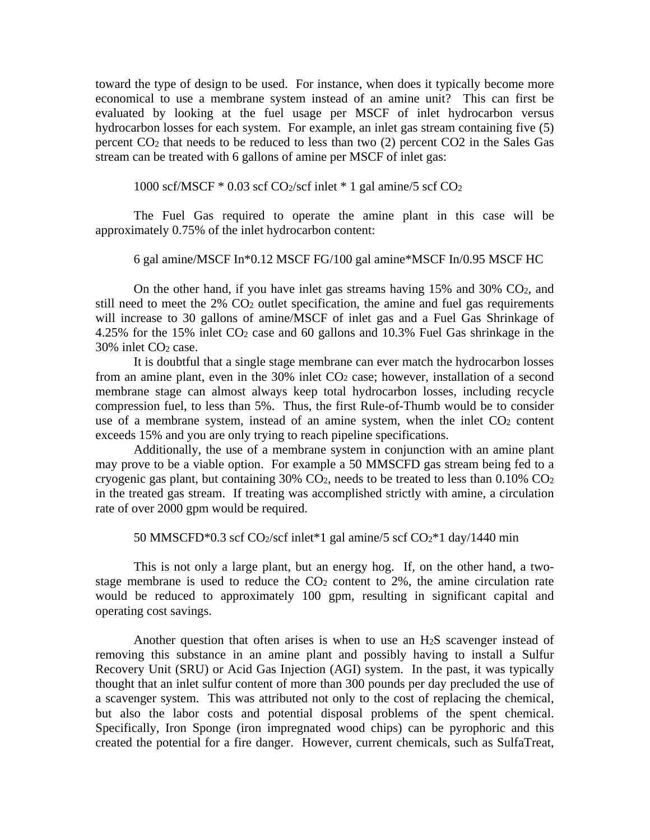toward the type of design to be used. For instance, when does it typically become more economical to use a membrane system instead of an amine unit? This can first be evaluated by looking at the fuel usage per MSCF of inlet hydrocarbon versus hydrocarbon losses for each system. For example, an inlet gas stream containing five (5) percent CO2 that needs to be reduced to less than two (2) percent CO2 in the Sales Gas stream can be treated with 6 gallons of amine per MSCF of inlet gas:

1000 scf/MSCF \* 0.03 scf CO2/scf inlet \* 1 gal amine/5 scf CO2

The Fuel Gas required to operate the amine plant in this case will be approximately 0.75% of the inlet hydrocarbon content:

6 gal amine/MSCF In\*0.12 MSCF FG/100 gal amine\*MSCF In/0.95 MSCF HC

On the other hand, if you have inlet gas streams having 15% and 30% CO2, and still need to meet the  $2\%$  CO<sub>2</sub> outlet specification, the amine and fuel gas requirements will increase to 30 gallons of amine/MSCF of inlet gas and a Fuel Gas Shrinkage of 4.25% for the 15% inlet CO2 case and 60 gallons and 10.3% Fuel Gas shrinkage in the 30% inlet CO2 case.

It is doubtful that a single stage membrane can ever match the hydrocarbon losses from an amine plant, even in the  $30\%$  inlet  $CO<sub>2</sub>$  case; however, installation of a second membrane stage can almost always keep total hydrocarbon losses, including recycle compression fuel, to less than 5%. Thus, the first Rule-of-Thumb would be to consider use of a membrane system, instead of an amine system, when the inlet  $CO<sub>2</sub>$  content exceeds 15% and you are only trying to reach pipeline specifications.

Additionally, the use of a membrane system in conjunction with an amine plant may prove to be a viable option. For example a 50 MMSCFD gas stream being fed to a cryogenic gas plant, but containing  $30\%$  CO<sub>2</sub>, needs to be treated to less than  $0.10\%$  CO<sub>2</sub> in the treated gas stream. If treating was accomplished strictly with amine, a circulation rate of over 2000 gpm would be required.

50 MMSCFD\*0.3 scf CO2/scf inlet\*1 gal amine/5 scf CO2\*1 day/1440 min

This is not only a large plant, but an energy hog. If, on the other hand, a twostage membrane is used to reduce the  $CO<sub>2</sub>$  content to 2%, the amine circulation rate would be reduced to approximately 100 gpm, resulting in significant capital and operating cost savings.

Another question that often arises is when to use an H2S scavenger instead of removing this substance in an amine plant and possibly having to install a Sulfur Recovery Unit (SRU) or Acid Gas Injection (AGI) system. In the past, it was typically thought that an inlet sulfur content of more than 300 pounds per day precluded the use of a scavenger system. This was attributed not only to the cost of replacing the chemical, but also the labor costs and potential disposal problems of the spent chemical. Specifically, Iron Sponge (iron impregnated wood chips) can be pyrophoric and this created the potential for a fire danger. However, current chemicals, such as SulfaTreat,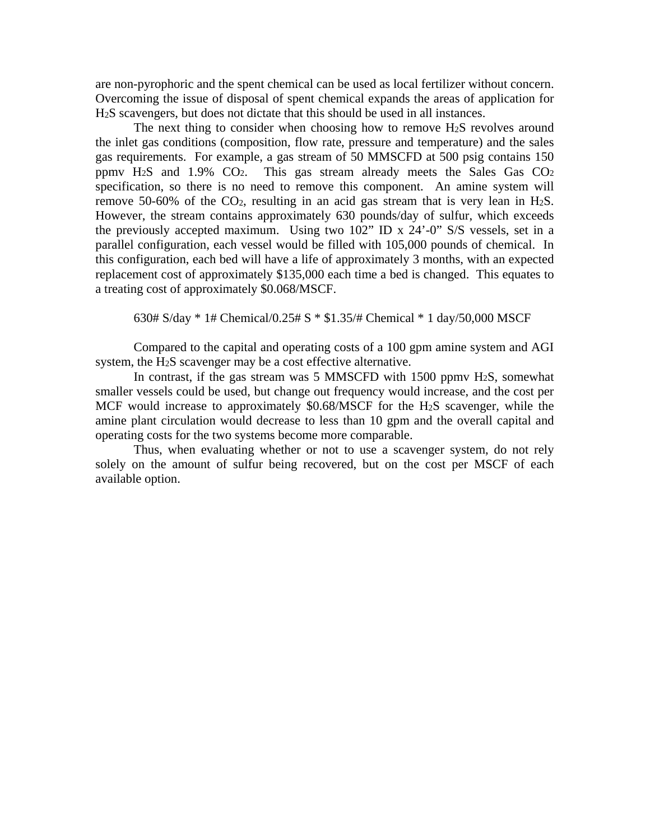are non-pyrophoric and the spent chemical can be used as local fertilizer without concern. Overcoming the issue of disposal of spent chemical expands the areas of application for H2S scavengers, but does not dictate that this should be used in all instances.

The next thing to consider when choosing how to remove H<sub>2</sub>S revolves around the inlet gas conditions (composition, flow rate, pressure and temperature) and the sales gas requirements. For example, a gas stream of 50 MMSCFD at 500 psig contains 150 ppmv  $H_2S$  and 1.9%  $CO_2$ . This gas stream already meets the Sales Gas  $CO_2$ specification, so there is no need to remove this component. An amine system will remove 50-60% of the  $CO<sub>2</sub>$ , resulting in an acid gas stream that is very lean in H<sub>2</sub>S. However, the stream contains approximately 630 pounds/day of sulfur, which exceeds the previously accepted maximum. Using two 102" ID x 24'-0" S/S vessels, set in a parallel configuration, each vessel would be filled with 105,000 pounds of chemical. In this configuration, each bed will have a life of approximately 3 months, with an expected replacement cost of approximately \$135,000 each time a bed is changed. This equates to a treating cost of approximately \$0.068/MSCF.

630# S/day \* 1# Chemical/0.25# S \* \$1.35/# Chemical \* 1 day/50,000 MSCF

Compared to the capital and operating costs of a 100 gpm amine system and AGI system, the H2S scavenger may be a cost effective alternative.

In contrast, if the gas stream was 5 MMSCFD with 1500 ppmv  $H<sub>2</sub>S$ , somewhat smaller vessels could be used, but change out frequency would increase, and the cost per MCF would increase to approximately \$0.68/MSCF for the H2S scavenger, while the amine plant circulation would decrease to less than 10 gpm and the overall capital and operating costs for the two systems become more comparable.

Thus, when evaluating whether or not to use a scavenger system, do not rely solely on the amount of sulfur being recovered, but on the cost per MSCF of each available option.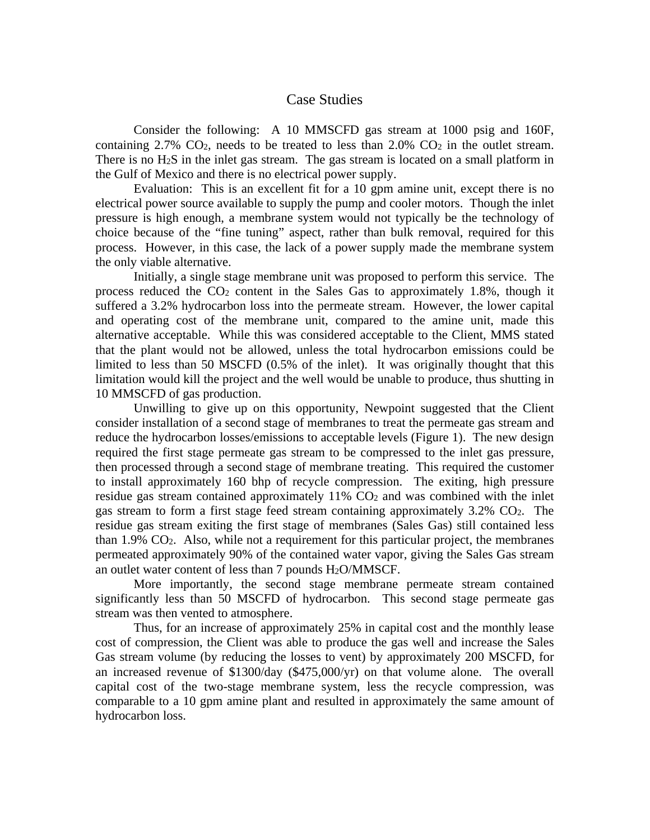### Case Studies

Consider the following: A 10 MMSCFD gas stream at 1000 psig and 160F, containing  $2.7\%$  CO<sub>2</sub>, needs to be treated to less than  $2.0\%$  CO<sub>2</sub> in the outlet stream. There is no H<sub>2</sub>S in the inlet gas stream. The gas stream is located on a small platform in the Gulf of Mexico and there is no electrical power supply.

Evaluation: This is an excellent fit for a 10 gpm amine unit, except there is no electrical power source available to supply the pump and cooler motors. Though the inlet pressure is high enough, a membrane system would not typically be the technology of choice because of the "fine tuning" aspect, rather than bulk removal, required for this process. However, in this case, the lack of a power supply made the membrane system the only viable alternative.

Initially, a single stage membrane unit was proposed to perform this service. The process reduced the CO2 content in the Sales Gas to approximately 1.8%, though it suffered a 3.2% hydrocarbon loss into the permeate stream. However, the lower capital and operating cost of the membrane unit, compared to the amine unit, made this alternative acceptable. While this was considered acceptable to the Client, MMS stated that the plant would not be allowed, unless the total hydrocarbon emissions could be limited to less than 50 MSCFD (0.5% of the inlet). It was originally thought that this limitation would kill the project and the well would be unable to produce, thus shutting in 10 MMSCFD of gas production.

Unwilling to give up on this opportunity, Newpoint suggested that the Client consider installation of a second stage of membranes to treat the permeate gas stream and reduce the hydrocarbon losses/emissions to acceptable levels (Figure 1). The new design required the first stage permeate gas stream to be compressed to the inlet gas pressure, then processed through a second stage of membrane treating. This required the customer to install approximately 160 bhp of recycle compression. The exiting, high pressure residue gas stream contained approximately  $11\%$  CO<sub>2</sub> and was combined with the inlet gas stream to form a first stage feed stream containing approximately 3.2% CO2. The residue gas stream exiting the first stage of membranes (Sales Gas) still contained less than  $1.9\%$  CO<sub>2</sub>. Also, while not a requirement for this particular project, the membranes permeated approximately 90% of the contained water vapor, giving the Sales Gas stream an outlet water content of less than 7 pounds H2O/MMSCF.

More importantly, the second stage membrane permeate stream contained significantly less than 50 MSCFD of hydrocarbon. This second stage permeate gas stream was then vented to atmosphere.

Thus, for an increase of approximately 25% in capital cost and the monthly lease cost of compression, the Client was able to produce the gas well and increase the Sales Gas stream volume (by reducing the losses to vent) by approximately 200 MSCFD, for an increased revenue of \$1300/day (\$475,000/yr) on that volume alone. The overall capital cost of the two-stage membrane system, less the recycle compression, was comparable to a 10 gpm amine plant and resulted in approximately the same amount of hydrocarbon loss.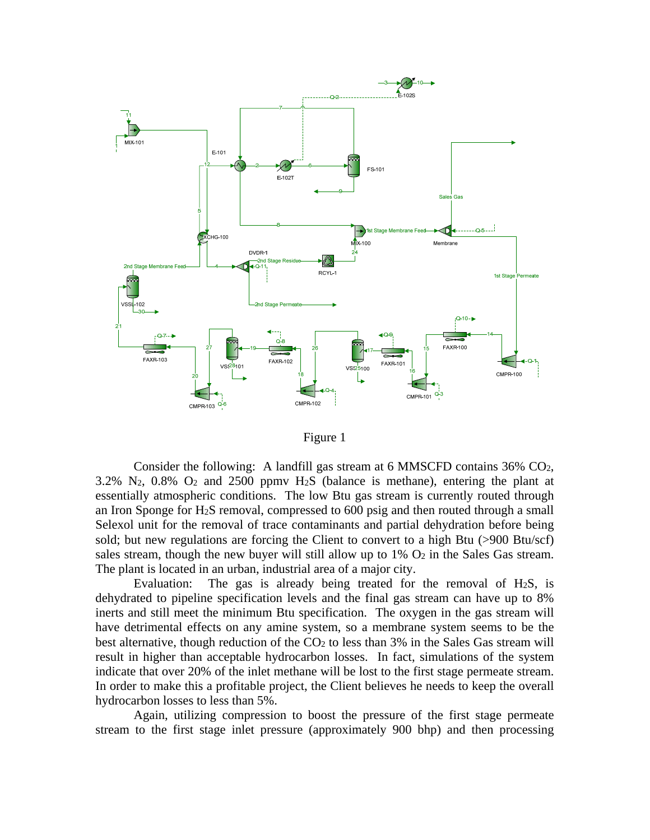

Figure 1

Consider the following: A landfill gas stream at 6 MMSCFD contains  $36\%$  CO<sub>2</sub>,  $3.2\%$  N<sub>2</sub>,  $0.8\%$  O<sub>2</sub> and  $2500$  ppmv H<sub>2</sub>S (balance is methane), entering the plant at essentially atmospheric conditions. The low Btu gas stream is currently routed through an Iron Sponge for H2S removal, compressed to 600 psig and then routed through a small Selexol unit for the removal of trace contaminants and partial dehydration before being sold; but new regulations are forcing the Client to convert to a high Btu (>900 Btu/scf) sales stream, though the new buyer will still allow up to  $1\%$  O<sub>2</sub> in the Sales Gas stream. The plant is located in an urban, industrial area of a major city.

 Evaluation: The gas is already being treated for the removal of H2S, is dehydrated to pipeline specification levels and the final gas stream can have up to 8% inerts and still meet the minimum Btu specification. The oxygen in the gas stream will have detrimental effects on any amine system, so a membrane system seems to be the best alternative, though reduction of the  $CO<sub>2</sub>$  to less than 3% in the Sales Gas stream will result in higher than acceptable hydrocarbon losses. In fact, simulations of the system indicate that over 20% of the inlet methane will be lost to the first stage permeate stream. In order to make this a profitable project, the Client believes he needs to keep the overall hydrocarbon losses to less than 5%.

Again, utilizing compression to boost the pressure of the first stage permeate stream to the first stage inlet pressure (approximately 900 bhp) and then processing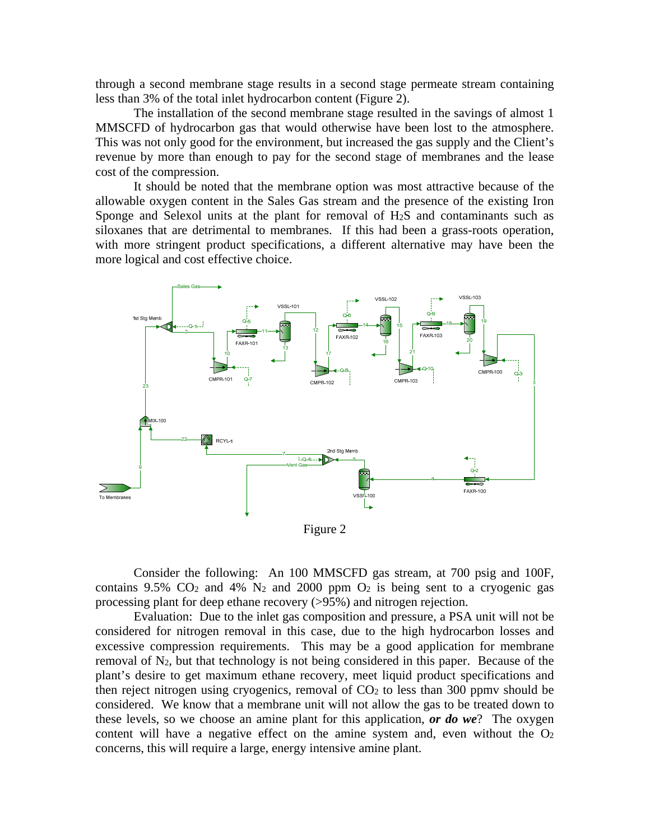through a second membrane stage results in a second stage permeate stream containing less than 3% of the total inlet hydrocarbon content (Figure 2).

The installation of the second membrane stage resulted in the savings of almost 1 MMSCFD of hydrocarbon gas that would otherwise have been lost to the atmosphere. This was not only good for the environment, but increased the gas supply and the Client's revenue by more than enough to pay for the second stage of membranes and the lease cost of the compression.

It should be noted that the membrane option was most attractive because of the allowable oxygen content in the Sales Gas stream and the presence of the existing Iron Sponge and Selexol units at the plant for removal of H2S and contaminants such as siloxanes that are detrimental to membranes. If this had been a grass-roots operation, with more stringent product specifications, a different alternative may have been the more logical and cost effective choice.



Figure 2

Consider the following: An 100 MMSCFD gas stream, at 700 psig and 100F, contains 9.5%  $CO<sub>2</sub>$  and 4%  $N<sub>2</sub>$  and 2000 ppm  $O<sub>2</sub>$  is being sent to a cryogenic gas processing plant for deep ethane recovery (>95%) and nitrogen rejection.

Evaluation: Due to the inlet gas composition and pressure, a PSA unit will not be considered for nitrogen removal in this case, due to the high hydrocarbon losses and excessive compression requirements. This may be a good application for membrane removal of N2, but that technology is not being considered in this paper. Because of the plant's desire to get maximum ethane recovery, meet liquid product specifications and then reject nitrogen using cryogenics, removal of  $CO<sub>2</sub>$  to less than 300 ppmv should be considered. We know that a membrane unit will not allow the gas to be treated down to these levels, so we choose an amine plant for this application, *or do we*? The oxygen content will have a negative effect on the amine system and, even without the  $O<sub>2</sub>$ concerns, this will require a large, energy intensive amine plant.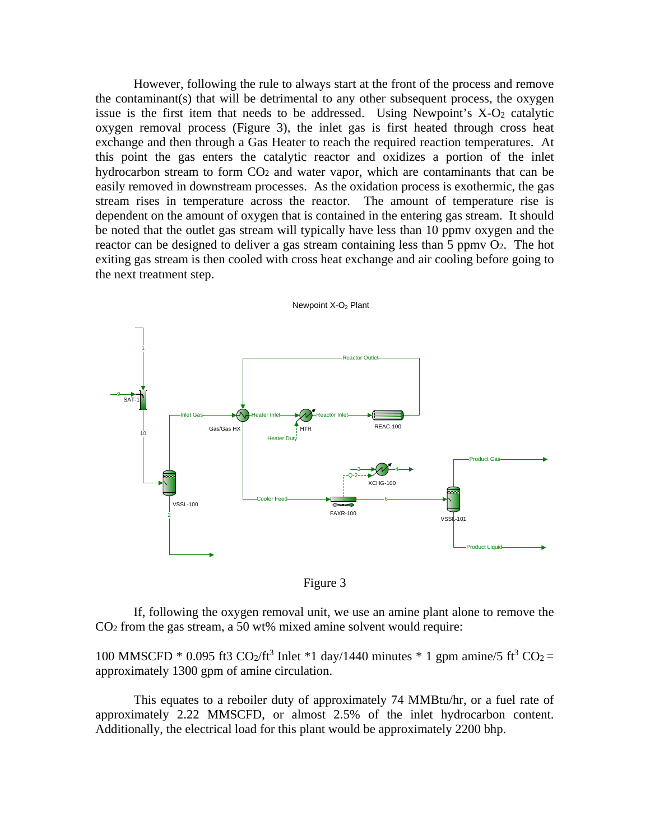However, following the rule to always start at the front of the process and remove the contaminant(s) that will be detrimental to any other subsequent process, the oxygen issue is the first item that needs to be addressed. Using Newpoint's  $X-O_2$  catalytic oxygen removal process (Figure 3), the inlet gas is first heated through cross heat exchange and then through a Gas Heater to reach the required reaction temperatures. At this point the gas enters the catalytic reactor and oxidizes a portion of the inlet hydrocarbon stream to form  $CO<sub>2</sub>$  and water vapor, which are contaminants that can be easily removed in downstream processes. As the oxidation process is exothermic, the gas stream rises in temperature across the reactor. The amount of temperature rise is dependent on the amount of oxygen that is contained in the entering gas stream. It should be noted that the outlet gas stream will typically have less than 10 ppmv oxygen and the reactor can be designed to deliver a gas stream containing less than  $5$  ppmv  $O_2$ . The hot exiting gas stream is then cooled with cross heat exchange and air cooling before going to the next treatment step.





If, following the oxygen removal unit, we use an amine plant alone to remove the CO2 from the gas stream, a 50 wt% mixed amine solvent would require:

100 MMSCFD \* 0.095 ft3 CO<sub>2</sub>/ft<sup>3</sup> Inlet \*1 day/1440 minutes \* 1 gpm amine/5 ft<sup>3</sup> CO<sub>2</sub> = approximately 1300 gpm of amine circulation.

This equates to a reboiler duty of approximately 74 MMBtu/hr, or a fuel rate of approximately 2.22 MMSCFD, or almost 2.5% of the inlet hydrocarbon content. Additionally, the electrical load for this plant would be approximately 2200 bhp.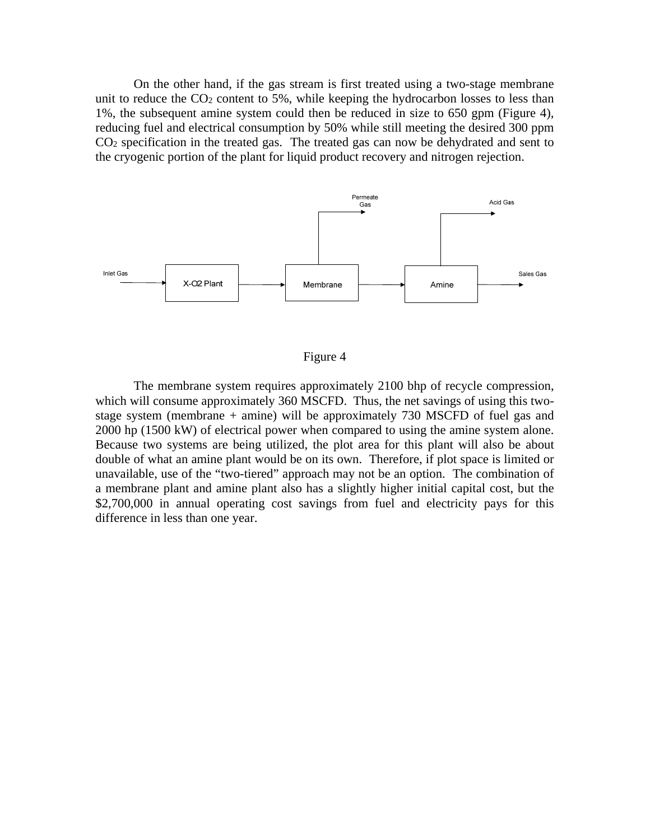On the other hand, if the gas stream is first treated using a two-stage membrane unit to reduce the  $CO<sub>2</sub>$  content to 5%, while keeping the hydrocarbon losses to less than 1%, the subsequent amine system could then be reduced in size to 650 gpm (Figure 4), reducing fuel and electrical consumption by 50% while still meeting the desired 300 ppm CO2 specification in the treated gas. The treated gas can now be dehydrated and sent to the cryogenic portion of the plant for liquid product recovery and nitrogen rejection.



#### Figure 4

The membrane system requires approximately 2100 bhp of recycle compression, which will consume approximately 360 MSCFD. Thus, the net savings of using this twostage system (membrane + amine) will be approximately 730 MSCFD of fuel gas and 2000 hp (1500 kW) of electrical power when compared to using the amine system alone. Because two systems are being utilized, the plot area for this plant will also be about double of what an amine plant would be on its own. Therefore, if plot space is limited or unavailable, use of the "two-tiered" approach may not be an option. The combination of a membrane plant and amine plant also has a slightly higher initial capital cost, but the \$2,700,000 in annual operating cost savings from fuel and electricity pays for this difference in less than one year.